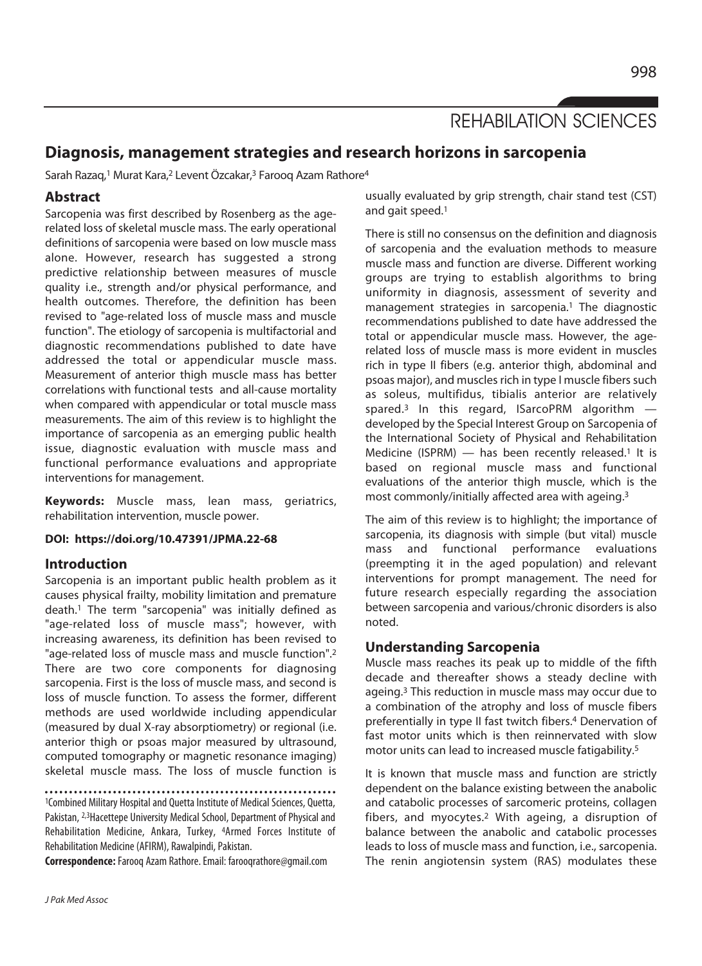REHABILATION SCIENCES

# **Diagnosis, management strategies and research horizons in sarcopenia**

Sarah Razaq,<sup>1</sup> Murat Kara,<sup>2</sup> Levent Özcakar,<sup>3</sup> Farooq Azam Rathore<sup>4</sup>

# **Abstract**

Sarcopenia was first described by Rosenberg as the agerelated loss of skeletal muscle mass. The early operational definitions of sarcopenia were based on low muscle mass alone. However, research has suggested a strong predictive relationship between measures of muscle quality i.e., strength and/or physical performance, and health outcomes. Therefore, the definition has been revised to "age-related loss of muscle mass and muscle function". The etiology of sarcopenia is multifactorial and diagnostic recommendations published to date have addressed the total or appendicular muscle mass. Measurement of anterior thigh muscle mass has better correlations with functional tests and all-cause mortality when compared with appendicular or total muscle mass measurements. The aim of this review is to highlight the importance of sarcopenia as an emerging public health issue, diagnostic evaluation with muscle mass and functional performance evaluations and appropriate interventions for management.

**Keywords:** Muscle mass, lean mass, geriatrics, rehabilitation intervention, muscle power.

#### **DOI: https://doi.org/10.47391/JPMA.22-68**

# **Introduction**

Sarcopenia is an important public health problem as it causes physical frailty, mobility limitation and premature death.1 The term "sarcopenia" was initially defined as "age-related loss of muscle mass"; however, with increasing awareness, its definition has been revised to "age-related loss of muscle mass and muscle function".2 There are two core components for diagnosing sarcopenia. First is the loss of muscle mass, and second is loss of muscle function. To assess the former, different methods are used worldwide including appendicular (measured by dual X-ray absorptiometry) or regional (i.e. anterior thigh or psoas major measured by ultrasound, computed tomography or magnetic resonance imaging) skeletal muscle mass. The loss of muscle function is

1Combined Military Hospital and Quetta Institute of Medical Sciences, Quetta, Pakistan, 2,3Hacettepe University Medical School, Department of Physical and Rehabilitation Medicine, Ankara, Turkey, 4Armed Forces Institute of Rehabilitation Medicine (AFIRM), Rawalpindi, Pakistan.

**Correspondence:** Farooq Azam Rathore. Email: farooqrathore@gmail.com

usually evaluated by grip strength, chair stand test (CST) and gait speed.1

There is still no consensus on the definition and diagnosis of sarcopenia and the evaluation methods to measure muscle mass and function are diverse. Different working groups are trying to establish algorithms to bring uniformity in diagnosis, assessment of severity and management strategies in sarcopenia.<sup>1</sup> The diagnostic recommendations published to date have addressed the total or appendicular muscle mass. However, the agerelated loss of muscle mass is more evident in muscles rich in type II fibers (e.g. anterior thigh, abdominal and psoas major), and muscles rich in type I muscle fibers such as soleus, multifidus, tibialis anterior are relatively spared.<sup>3</sup> In this regard, ISarcoPRM algorithm  $$ developed by the Special Interest Group on Sarcopenia of the International Society of Physical and Rehabilitation Medicine (ISPRM)  $-$  has been recently released.<sup>1</sup> It is based on regional muscle mass and functional evaluations of the anterior thigh muscle, which is the most commonly/initially affected area with ageing.3

The aim of this review is to highlight; the importance of sarcopenia, its diagnosis with simple (but vital) muscle mass and functional performance evaluations (preempting it in the aged population) and relevant interventions for prompt management. The need for future research especially regarding the association between sarcopenia and various/chronic disorders is also noted.

# **Understanding Sarcopenia**

Muscle mass reaches its peak up to middle of the fifth decade and thereafter shows a steady decline with ageing.3 This reduction in muscle mass may occur due to a combination of the atrophy and loss of muscle fibers preferentially in type II fast twitch fibers.4 Denervation of fast motor units which is then reinnervated with slow motor units can lead to increased muscle fatigability.5

It is known that muscle mass and function are strictly dependent on the balance existing between the anabolic and catabolic processes of sarcomeric proteins, collagen fibers, and myocytes.2 With ageing, a disruption of balance between the anabolic and catabolic processes leads to loss of muscle mass and function, i.e., sarcopenia. The renin angiotensin system (RAS) modulates these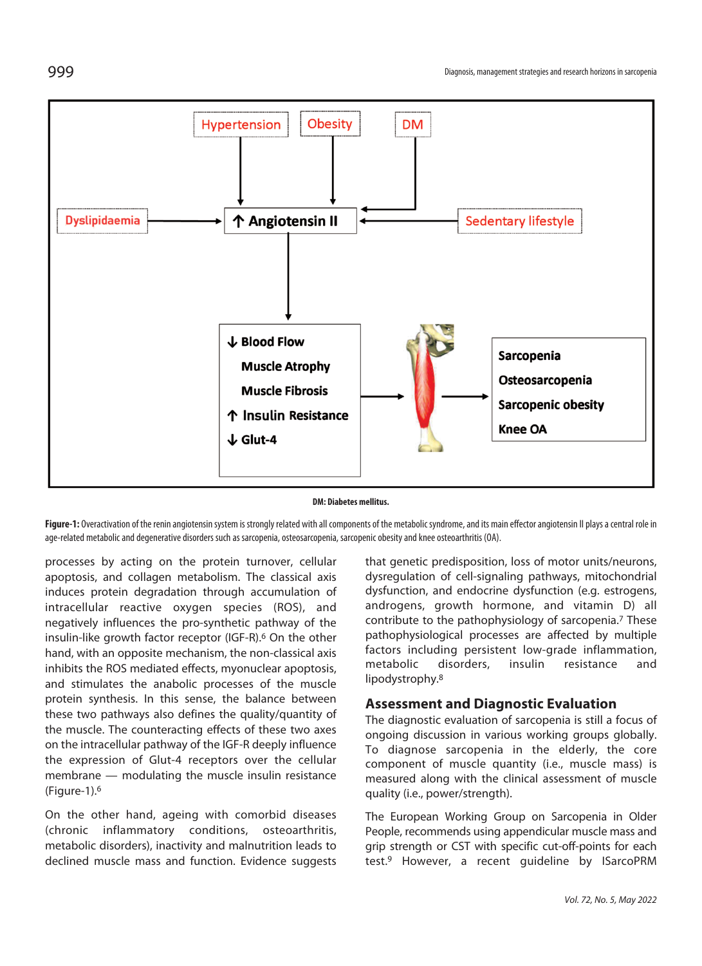

#### **DM: Diabetes mellitus.**

Figure-1: Overactivation of the renin angiotensin system is strongly related with all components of the metabolic syndrome, and its main effector angiotensin II plays a central role in age-related metabolic and degenerative disorders such as sarcopenia, osteosarcopenia, sarcopenic obesity and knee osteoarthritis (OA).

processes by acting on the protein turnover, cellular apoptosis, and collagen metabolism. The classical axis induces protein degradation through accumulation of intracellular reactive oxygen species (ROS), and negatively influences the pro-synthetic pathway of the insulin-like growth factor receptor (IGF-R).<sup>6</sup> On the other hand, with an opposite mechanism, the non-classical axis inhibits the ROS mediated effects, myonuclear apoptosis, and stimulates the anabolic processes of the muscle protein synthesis. In this sense, the balance between these two pathways also defines the quality/quantity of the muscle. The counteracting effects of these two axes on the intracellular pathway of the IGF-R deeply influence the expression of Glut-4 receptors over the cellular membrane — modulating the muscle insulin resistance (Figure-1).6

On the other hand, ageing with comorbid diseases (chronic inflammatory conditions, osteoarthritis, metabolic disorders), inactivity and malnutrition leads to declined muscle mass and function. Evidence suggests that genetic predisposition, loss of motor units/neurons, dysregulation of cell-signaling pathways, mitochondrial dysfunction, and endocrine dysfunction (e.g. estrogens, androgens, growth hormone, and vitamin D) all contribute to the pathophysiology of sarcopenia.7 These pathophysiological processes are affected by multiple factors including persistent low-grade inflammation, metabolic disorders, insulin resistance and lipodystrophy.8

# **Assessment and Diagnostic Evaluation**

The diagnostic evaluation of sarcopenia is still a focus of ongoing discussion in various working groups globally. To diagnose sarcopenia in the elderly, the core component of muscle quantity (i.e., muscle mass) is measured along with the clinical assessment of muscle quality (i.e., power/strength).

The European Working Group on Sarcopenia in Older People, recommends using appendicular muscle mass and grip strength or CST with specific cut-off-points for each test.9 However, a recent guideline by ISarcoPRM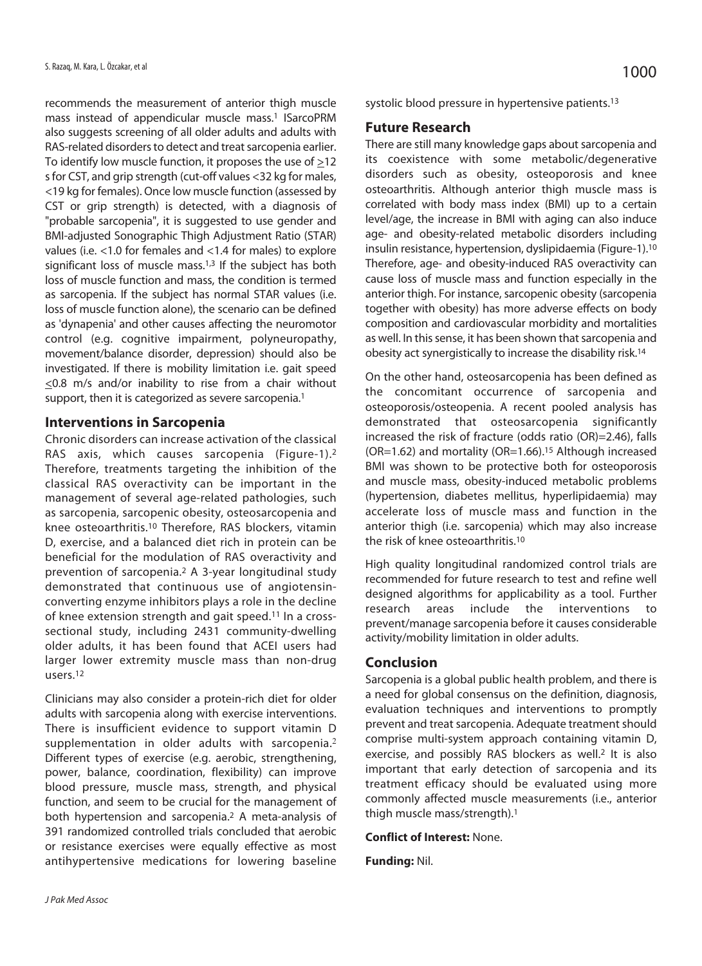recommends the measurement of anterior thigh muscle mass instead of appendicular muscle mass.1 ISarcoPRM also suggests screening of all older adults and adults with RAS-related disorders to detect and treat sarcopenia earlier. To identify low muscle function, it proposes the use of  $\geq$ 12 s for CST, and grip strength (cut-off values <32 kg for males, <19 kg for females). Once low muscle function (assessed by CST or grip strength) is detected, with a diagnosis of "probable sarcopenia", it is suggested to use gender and BMI-adjusted Sonographic Thigh Adjustment Ratio (STAR) values (i.e. <1.0 for females and <1.4 for males) to explore significant loss of muscle mass.<sup>1,3</sup> If the subject has both loss of muscle function and mass, the condition is termed as sarcopenia. If the subject has normal STAR values (i.e. loss of muscle function alone), the scenario can be defined as 'dynapenia' and other causes affecting the neuromotor control (e.g. cognitive impairment, polyneuropathy, movement/balance disorder, depression) should also be investigated. If there is mobility limitation i.e. gait speed <0.8 m/s and/or inability to rise from a chair without support, then it is categorized as severe sarcopenia.<sup>1</sup>

### **Interventions in Sarcopenia**

Chronic disorders can increase activation of the classical RAS axis, which causes sarcopenia (Figure-1).2 Therefore, treatments targeting the inhibition of the classical RAS overactivity can be important in the management of several age-related pathologies, such as sarcopenia, sarcopenic obesity, osteosarcopenia and knee osteoarthritis.10 Therefore, RAS blockers, vitamin D, exercise, and a balanced diet rich in protein can be beneficial for the modulation of RAS overactivity and prevention of sarcopenia.2 A 3-year longitudinal study demonstrated that continuous use of angiotensinconverting enzyme inhibitors plays a role in the decline of knee extension strength and gait speed.11 In a crosssectional study, including 2431 community-dwelling older adults, it has been found that ACEI users had larger lower extremity muscle mass than non-drug users.12

Clinicians may also consider a protein-rich diet for older adults with sarcopenia along with exercise interventions. There is insufficient evidence to support vitamin D supplementation in older adults with sarcopenia.<sup>2</sup> Different types of exercise (e.g. aerobic, strengthening, power, balance, coordination, flexibility) can improve blood pressure, muscle mass, strength, and physical function, and seem to be crucial for the management of both hypertension and sarcopenia.2 A meta-analysis of 391 randomized controlled trials concluded that aerobic or resistance exercises were equally effective as most antihypertensive medications for lowering baseline systolic blood pressure in hypertensive patients.<sup>13</sup>

## **Future Research**

There are still many knowledge gaps about sarcopenia and its coexistence with some metabolic/degenerative disorders such as obesity, osteoporosis and knee osteoarthritis. Although anterior thigh muscle mass is correlated with body mass index (BMI) up to a certain level/age, the increase in BMI with aging can also induce age- and obesity-related metabolic disorders including insulin resistance, hypertension, dyslipidaemia (Figure-1).10 Therefore, age- and obesity-induced RAS overactivity can cause loss of muscle mass and function especially in the anterior thigh. For instance, sarcopenic obesity (sarcopenia together with obesity) has more adverse effects on body composition and cardiovascular morbidity and mortalities as well. In this sense, it has been shown that sarcopenia and obesity act synergistically to increase the disability risk.14

On the other hand, osteosarcopenia has been defined as the concomitant occurrence of sarcopenia and osteoporosis/osteopenia. A recent pooled analysis has demonstrated that osteosarcopenia significantly increased the risk of fracture (odds ratio (OR)=2.46), falls (OR=1.62) and mortality (OR=1.66).15 Although increased BMI was shown to be protective both for osteoporosis and muscle mass, obesity-induced metabolic problems (hypertension, diabetes mellitus, hyperlipidaemia) may accelerate loss of muscle mass and function in the anterior thigh (i.e. sarcopenia) which may also increase the risk of knee osteoarthritis.10

High quality longitudinal randomized control trials are recommended for future research to test and refine well designed algorithms for applicability as a tool. Further research areas include the interventions to prevent/manage sarcopenia before it causes considerable activity/mobility limitation in older adults.

#### **Conclusion**

Sarcopenia is a global public health problem, and there is a need for global consensus on the definition, diagnosis, evaluation techniques and interventions to promptly prevent and treat sarcopenia. Adequate treatment should comprise multi-system approach containing vitamin D, exercise, and possibly RAS blockers as well.<sup>2</sup> It is also important that early detection of sarcopenia and its treatment efficacy should be evaluated using more commonly affected muscle measurements (i.e., anterior thigh muscle mass/strength).1

#### **Conflict of Interest:** None.

**Funding:** Nil.